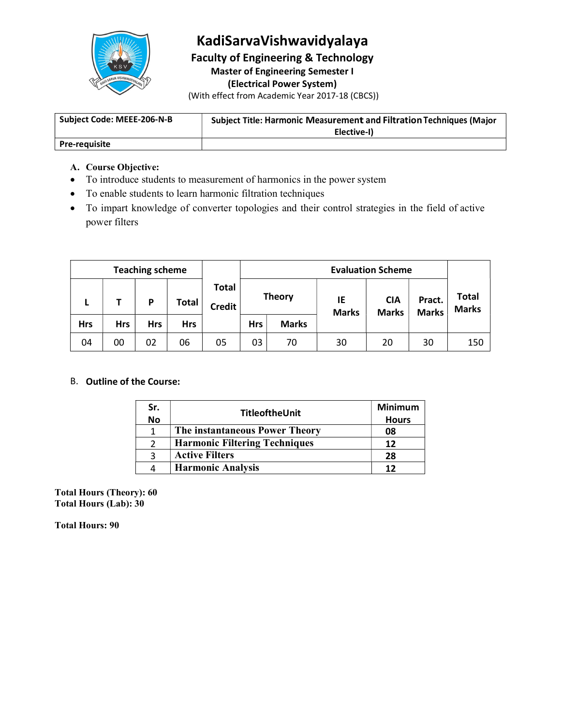

### KadiSarvaVishwavidyalaya

Faculty of Engineering & Technology Master of Engineering Semester I (Electrical Power System)

(With effect from Academic Year 2017-18 (CBCS))

| Subiect Code: MEEE-206-N-B | <b>Subject Title: Harmonic Measurement and Filtration Techniques (Major</b> |  |
|----------------------------|-----------------------------------------------------------------------------|--|
|                            | Elective-I)                                                                 |  |
| <b>Pre-requisite</b>       |                                                                             |  |

### A. Course Objective:

- To introduce students to measurement of harmonics in the power system
- To enable students to learn harmonic filtration techniques
- To impart knowledge of converter topologies and their control strategies in the field of active power filters

|            |            | <b>Teaching scheme</b> |              |                               |               |              | <b>Evaluation Scheme</b> |                            |                        |                              |
|------------|------------|------------------------|--------------|-------------------------------|---------------|--------------|--------------------------|----------------------------|------------------------|------------------------------|
|            |            | P                      | <b>Total</b> | <b>Total</b><br><b>Credit</b> | <b>Theory</b> |              | IE<br><b>Marks</b>       | <b>CIA</b><br><b>Marks</b> | Pract.<br><b>Marks</b> | <b>Total</b><br><b>Marks</b> |
| <b>Hrs</b> | <b>Hrs</b> | <b>Hrs</b>             | <b>Hrs</b>   |                               | <b>Hrs</b>    | <b>Marks</b> |                          |                            |                        |                              |
| 04         | 00         | 02                     | 06           | 05                            | 03            | 70           | 30                       | 20                         | 30                     | 150                          |

### B. Outline of the Course:

| Sr.       | TitleoftheUnit                       | Minimum      |
|-----------|--------------------------------------|--------------|
| <b>No</b> |                                      | <b>Hours</b> |
|           | The instantaneous Power Theory       | 08           |
|           | <b>Harmonic Filtering Techniques</b> |              |
|           | <b>Active Filters</b>                | 28           |
| 4         | <b>Harmonic Analysis</b>             |              |

Total Hours (Theory): 60 Total Hours (Lab): 30

Total Hours: 90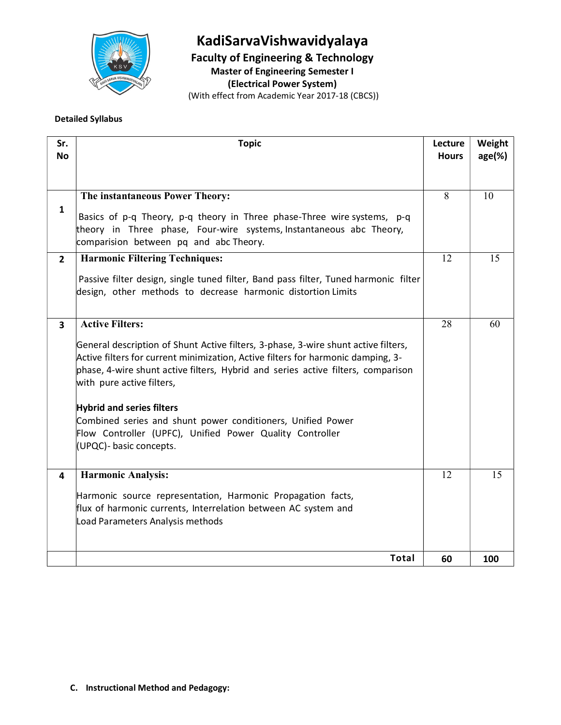

# KadiSarvaVishwavidyalaya

Faculty of Engineering & Technology Master of Engineering Semester I

(Electrical Power System)

(With effect from Academic Year 2017-18 (CBCS))

### Detailed Syllabus

| Sr.<br><b>No</b>        | <b>Topic</b>                                                                                                                                                                                                                                                                            | Lecture<br><b>Hours</b> | Weight<br>$age(\%)$ |  |
|-------------------------|-----------------------------------------------------------------------------------------------------------------------------------------------------------------------------------------------------------------------------------------------------------------------------------------|-------------------------|---------------------|--|
|                         |                                                                                                                                                                                                                                                                                         |                         |                     |  |
|                         | The instantaneous Power Theory:                                                                                                                                                                                                                                                         | 8                       | 10                  |  |
| $\mathbf{1}$            |                                                                                                                                                                                                                                                                                         |                         |                     |  |
|                         | Basics of p-q Theory, p-q theory in Three phase-Three wire systems, p-q                                                                                                                                                                                                                 |                         |                     |  |
|                         | theory in Three phase, Four-wire systems, Instantaneous abc Theory,<br>comparision between pq and abc Theory.                                                                                                                                                                           |                         |                     |  |
|                         |                                                                                                                                                                                                                                                                                         |                         |                     |  |
| $2^{\circ}$             | <b>Harmonic Filtering Techniques:</b>                                                                                                                                                                                                                                                   | 12                      | 15                  |  |
|                         | Passive filter design, single tuned filter, Band pass filter, Tuned harmonic filter<br>design, other methods to decrease harmonic distortion Limits                                                                                                                                     |                         |                     |  |
|                         |                                                                                                                                                                                                                                                                                         |                         |                     |  |
| $\overline{\mathbf{3}}$ | <b>Active Filters:</b>                                                                                                                                                                                                                                                                  | 28                      | 60                  |  |
|                         | General description of Shunt Active filters, 3-phase, 3-wire shunt active filters,<br>Active filters for current minimization, Active filters for harmonic damping, 3-<br>phase, 4-wire shunt active filters, Hybrid and series active filters, comparison<br>with pure active filters, |                         |                     |  |
|                         | <b>Hybrid and series filters</b>                                                                                                                                                                                                                                                        |                         |                     |  |
|                         | Combined series and shunt power conditioners, Unified Power                                                                                                                                                                                                                             |                         |                     |  |
|                         | Flow Controller (UPFC), Unified Power Quality Controller                                                                                                                                                                                                                                |                         |                     |  |
|                         | (UPQC)- basic concepts.                                                                                                                                                                                                                                                                 |                         |                     |  |
| 4                       | <b>Harmonic Analysis:</b>                                                                                                                                                                                                                                                               | 12                      | 15                  |  |
|                         | Harmonic source representation, Harmonic Propagation facts,<br>flux of harmonic currents, Interrelation between AC system and<br>Load Parameters Analysis methods                                                                                                                       |                         |                     |  |
|                         |                                                                                                                                                                                                                                                                                         |                         |                     |  |
|                         | Total                                                                                                                                                                                                                                                                                   | 60                      | 100                 |  |